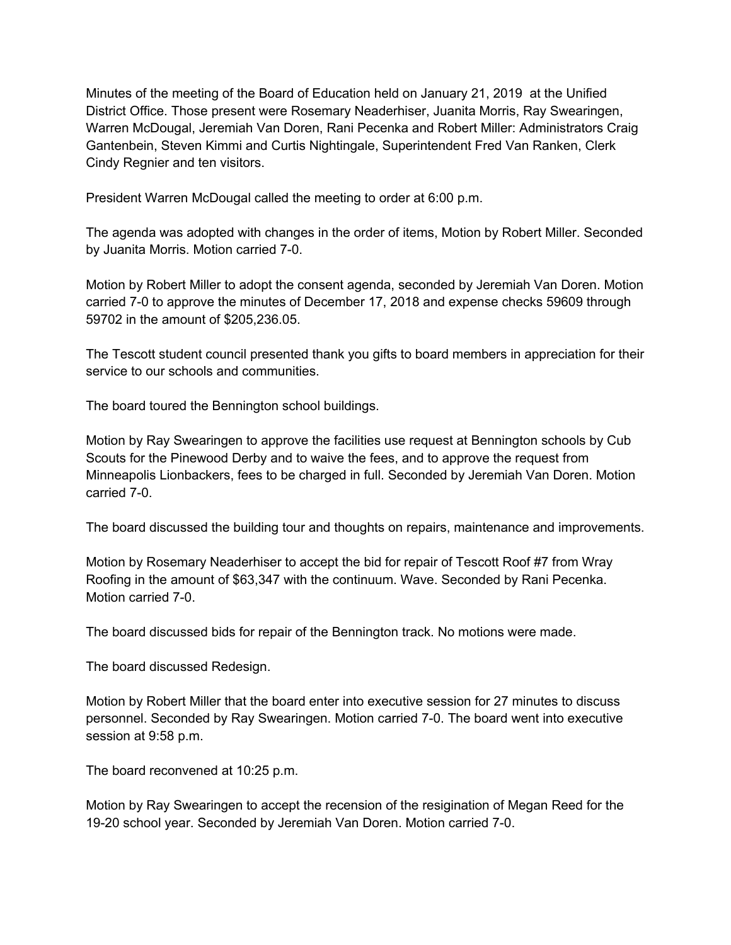Minutes of the meeting of the Board of Education held on January 21, 2019 at the Unified District Office. Those present were Rosemary Neaderhiser, Juanita Morris, Ray Swearingen, Warren McDougal, Jeremiah Van Doren, Rani Pecenka and Robert Miller: Administrators Craig Gantenbein, Steven Kimmi and Curtis Nightingale, Superintendent Fred Van Ranken, Clerk Cindy Regnier and ten visitors.

President Warren McDougal called the meeting to order at 6:00 p.m.

The agenda was adopted with changes in the order of items, Motion by Robert Miller. Seconded by Juanita Morris. Motion carried 7-0.

Motion by Robert Miller to adopt the consent agenda, seconded by Jeremiah Van Doren. Motion carried 7-0 to approve the minutes of December 17, 2018 and expense checks 59609 through 59702 in the amount of \$205,236.05.

The Tescott student council presented thank you gifts to board members in appreciation for their service to our schools and communities.

The board toured the Bennington school buildings.

Motion by Ray Swearingen to approve the facilities use request at Bennington schools by Cub Scouts for the Pinewood Derby and to waive the fees, and to approve the request from Minneapolis Lionbackers, fees to be charged in full. Seconded by Jeremiah Van Doren. Motion carried 7-0.

The board discussed the building tour and thoughts on repairs, maintenance and improvements.

Motion by Rosemary Neaderhiser to accept the bid for repair of Tescott Roof #7 from Wray Roofing in the amount of \$63,347 with the continuum. Wave. Seconded by Rani Pecenka. Motion carried 7-0.

The board discussed bids for repair of the Bennington track. No motions were made.

The board discussed Redesign.

Motion by Robert Miller that the board enter into executive session for 27 minutes to discuss personnel. Seconded by Ray Swearingen. Motion carried 7-0. The board went into executive session at 9:58 p.m.

The board reconvened at 10:25 p.m.

Motion by Ray Swearingen to accept the recension of the resigination of Megan Reed for the 19-20 school year. Seconded by Jeremiah Van Doren. Motion carried 7-0.